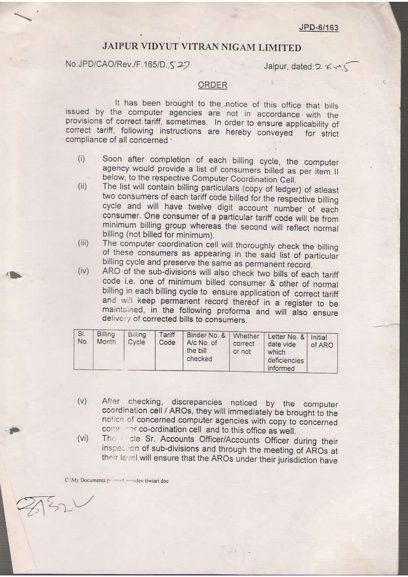## JAIPUR VIDYUT VITRAN NIGAM LIMITED

No.JPD/CAO/Rev./F.165/D.527

Jaipur, dated: 2 < < <

## **ORDER**

It has been brought to the notice of this office that bills issued by the computer agencies are not in accordance with the provisions of correct tariff, sometimes. In order to ensure applicability of correct tariff, following instructions are hereby conveyed for strict compliance of all concerned ·

- Soon after completion of each billing cycle, the computer  $(i)$ agency would provide a list of consumers billed as per item II below, to the respective Computer Coordination Cell.
- The list will contain billing particulars (copy of ledger) of atleast  $(ii)$ two consumers of each tariff code billed for the respective billing cycle and will have twelve digit account number of each consumer. One consumer of a particular tariff code will be from minimum billing group whereas the second will reflect normal billing (not billed for minimum).
- The computer coordination cell will thoroughly check the billing  $(iii)$ of these consumers as appearing in the said list of particular billing cycle and preserve the same as permanent record.
- ARO of the sub-divisions will also check two bills of each tariff  $(iv)$ code i.e. one of minimum billed consumer & other of normal billing in each billing cycle to ensure application of correct tariff and will keep permanent record thereof in a register to be maintained, in the following proforma and will also ensure delivery of corrected bills to consumers.

| SI.<br>No. | <b>Billing</b><br>Month | Billing<br>Cycle | Tariff<br>Code | Binder No. &<br>A/c No. of<br>the bill<br>checked | Whether<br>correct<br>or not | Letter No. &<br>date vide<br>which<br>deficiencies | Initial<br>of ARO |
|------------|-------------------------|------------------|----------------|---------------------------------------------------|------------------------------|----------------------------------------------------|-------------------|
|            |                         |                  |                |                                                   |                              | informed                                           |                   |

- After checking, discrepancies noticed by the computer  $(v)$ coordination cell / AROs, they will immediately be brought to the notice of concerned computer agencies with copy to concerned commence co-ordination cell and to this office as well.
- The de Sr. Accounts Officer/Accounts Officer during their  $(vi)$ inspection of sub-divisions and through the meeting of AROs at their level will ensure that the AROs under their jurisdiction have

**IPET** 

C:\My Documents'promoteningley tiwiari.doc

 $32$